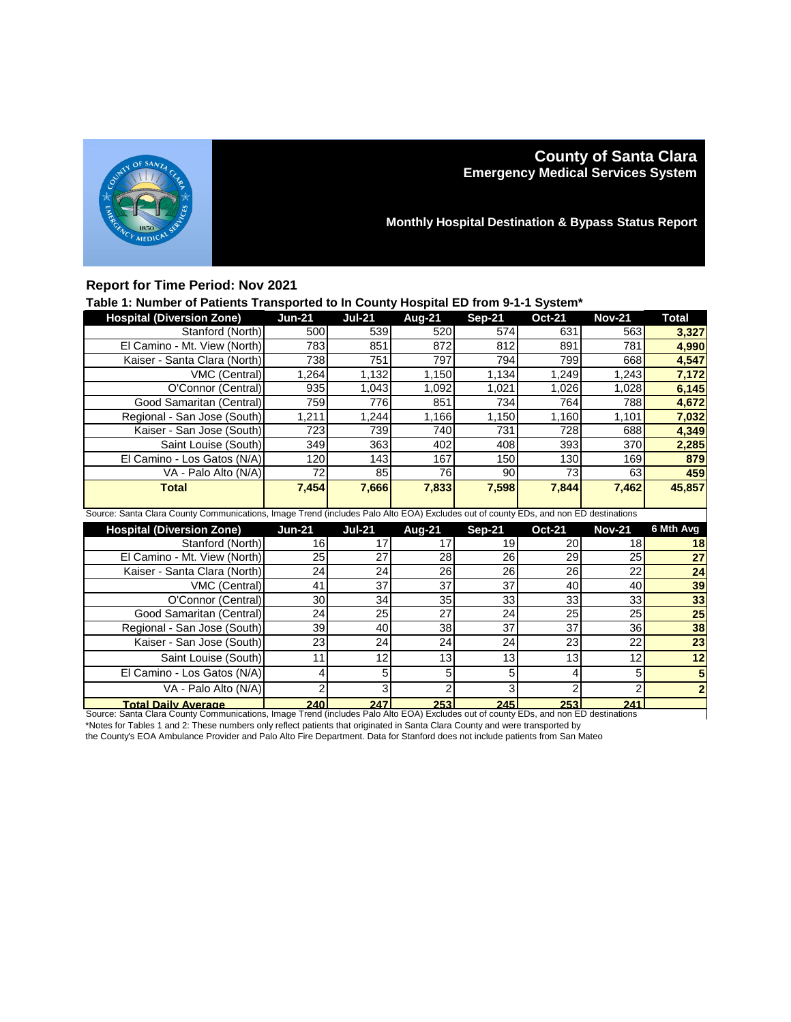

# **County of Santa Clara Emergency Medical Services System**

**Monthly Hospital Destination & Bypass Status Report**

### **Report for Time Period: Nov 2021**

## **Table 1: Number of Patients Transported to In County Hospital ED from 9-1-1 System\***

| <b>Hospital (Diversion Zone)</b>                                                                                                    | <b>Jun-21</b> | <b>Jul-21</b> | Aug-21 | <b>Sep-21</b> | <b>Oct-21</b> | <b>Nov-21</b> | <b>Total</b> |
|-------------------------------------------------------------------------------------------------------------------------------------|---------------|---------------|--------|---------------|---------------|---------------|--------------|
| Stanford (North)                                                                                                                    | 500           | 539           | 520    | 574           | 631           | 563           | 3,327        |
| El Camino - Mt. View (North)                                                                                                        | 783           | 851           | 872    | 812           | 891           | 781           | 4,990        |
| Kaiser - Santa Clara (North)                                                                                                        | 738           | 751           | 797    | 794           | 799           | 668           | 4,547        |
| VMC (Central)                                                                                                                       | 1,264         | 1,132         | 1,150  | 1,134         | 1,249         | 1,243         | 7,172        |
| O'Connor (Central)                                                                                                                  | 935           | 1,043         | 1,092  | 1,021         | 1,026         | 1,028         | 6,145        |
| Good Samaritan (Central)                                                                                                            | 759           | 776           | 851    | 734           | 764           | 788           | 4,672        |
| Regional - San Jose (South)                                                                                                         | 1,211         | 1,244         | 1,166  | 1,150         | 1,160         | 1,101         | 7,032        |
| Kaiser - San Jose (South)                                                                                                           | 723           | 739           | 740    | 731           | 728           | 688           | 4,349        |
| Saint Louise (South)                                                                                                                | 349           | 363           | 402    | 408           | 393           | 370           | 2,285        |
| El Camino - Los Gatos (N/A)                                                                                                         | 120           | 143           | 167    | 150           | 130           | 169           | 879          |
| VA - Palo Alto (N/A)                                                                                                                | 72            | 85            | 76     | 90            | 73            | 63            | 459          |
| <b>Total</b>                                                                                                                        | 7,454         | 7,666         | 7,833  | 7,598         | 7,844         | 7,462         | 45,857       |
|                                                                                                                                     |               |               |        |               |               |               |              |
| Source: Santa Clara County Communications, Image Trend (includes Palo Alto EOA) Excludes out of county EDs, and non ED destinations |               |               |        |               |               |               |              |
| <b>Hospital (Diversion Zone)</b>                                                                                                    | <b>Jun-21</b> | <b>Jul-21</b> | Aug-21 | <b>Sep-21</b> | <b>Oct-21</b> | <b>Nov-21</b> | 6 Mth Avg    |
| Stanford (North)                                                                                                                    | 16            | 17            | 17     | 19            | 20            | 18            | 18           |
| El Camino - Mt. View (North)                                                                                                        | 25            | 27            | 28     | 26            | 29            | 25            | 27           |
| Kaiser - Santa Clara (North)                                                                                                        | 24            | 24            | 26     | 26            | 26            | 22            | 24           |
| VMC (Central)                                                                                                                       | 41            | 37            | 37     | 37            | 40            | 40            | 39           |
| O'Connor (Central)                                                                                                                  | 30            | 34            | 35     | 33            | 33            | 33            | 33           |
| Good Samaritan (Central)                                                                                                            | 24            | 25            | 27     | 24            | 25            | 25            | 25           |
| Regional - San Jose (South)                                                                                                         | 39            | 40            | 38     | 37            | 37            | 36            | 38           |
| Kaiser - San Jose (South)                                                                                                           | 23            | 24            | 24     | 24            | 23            | 22            | 23           |
| Saint Louise (South)                                                                                                                | 11            | 12            | 13     | 13            | 13            | 12            | 12           |
| El Camino - Los Gatos (N/A)                                                                                                         | 4             | 5             | 5      | 5             | 4             | 5             |              |
|                                                                                                                                     |               |               |        |               |               |               |              |

VA - Palo Alto (N/A) 2 | 3 | 2 | 3<br><mark>ailv Average 240 247 | 253 | 245</mark> **Total Daily Average 240 247 253 245 253 241** Source: Santa Clara County Communications, Image Trend (includes Palo Alto EOA) Excludes out of county EDs, and non ED destinations \*Notes for Tables 1 and 2: These numbers only reflect patients that originated in Santa Clara County and were transported by

the County's EOA Ambulance Provider and Palo Alto Fire Department. Data for Stanford does not include patients from San Mateo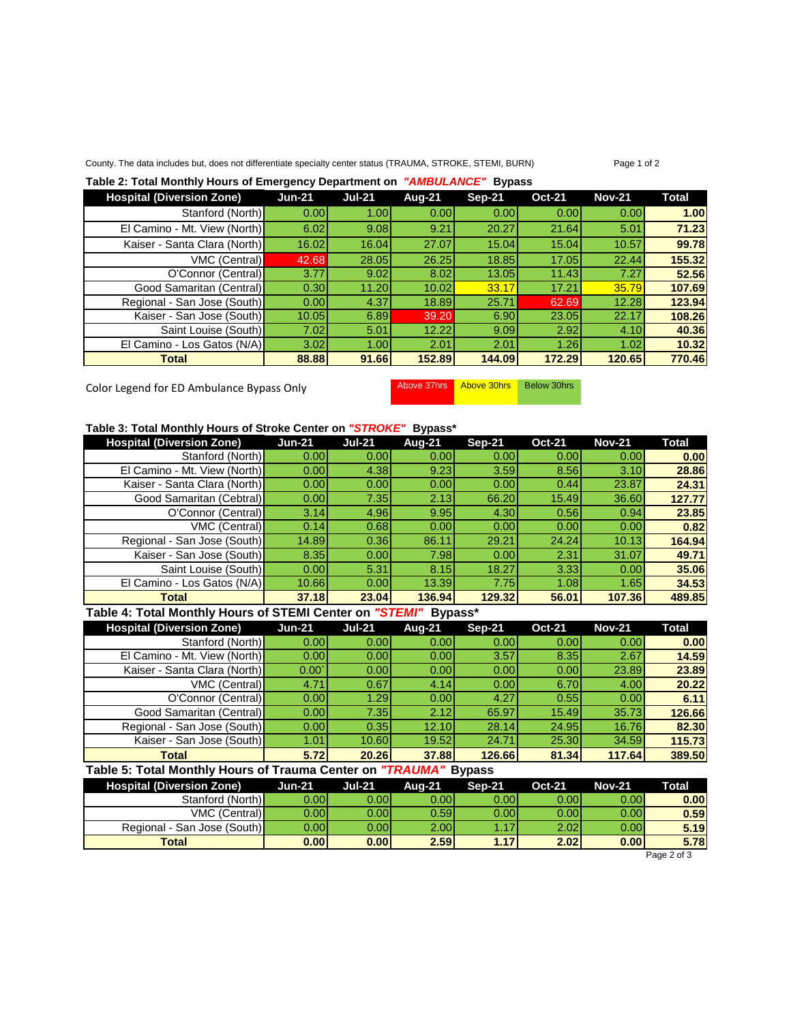#### County. The data includes but, does not differentiate specialty center status (TRAUMA, STROKE, STEMI, BURN) Page 1 of 2

#### **Table 2: Total Monthly Hours of Emergency Department on** *"AMBULANCE"* **Bypass**

| <b>Hospital (Diversion Zone)</b> | <b>Jun-21</b>     | <b>Jul-21</b> | Aug-21 | <b>Sep-21</b> | <b>Oct-21</b> | <b>Nov-21</b> | <b>Total</b> |
|----------------------------------|-------------------|---------------|--------|---------------|---------------|---------------|--------------|
| Stanford (North)                 | 0.001             | 1.00          | 0.001  | 0.001         | 0.00          | 0.00          | 1.00         |
| El Camino - Mt. View (North)     | 6.02              | 9.08          | 9.21   | 20.27         | 21.64         | 5.01          | 71.23        |
| Kaiser - Santa Clara (North)     | 16.02             | 16.04         | 27.07  | 15.04         | 15.04         | 10.57         | 99.78        |
| <b>VMC (Central)</b>             | 42.68             | 28.05         | 26.25  | 18.85         | 17.05         | 22.44         | 155.32       |
| O'Connor (Central)               | 3.77              | 9.02          | 8.02   | 13.05         | 11.43         | 7.27          | 52.56        |
| Good Samaritan (Central)         | 0.30 <sub>l</sub> | 11.20         | 10.02  | 33.17         | 17.21         | 35.79         | 107.69       |
| Regional - San Jose (South)      | 0.00              | 4.37          | 18.89  | 25.71         | 62.69         | 12.28         | 123.94       |
| Kaiser - San Jose (South)        | 10.05             | 6.89          | 39.20  | 6.90          | 23.05         | 22.17         | 108.26       |
| Saint Louise (South)             | 7.02              | 5.01          | 12.22  | 9.09          | 2.92          | 4.10          | 40.36        |
| El Camino - Los Gatos (N/A)      | 3.02              | 1.00          | 2.01   | 2.01          | 1.26          | 1.02          | 10.32        |
| <b>Total</b>                     | 88.88             | 91.66         | 152.89 | 144.09        | 172.29        | 120.65        | 770.46       |

Color Legend for ED Ambulance Bypass Only Above 37hrs Above 30hrs Below 30hrs

#### **Table 3: Total Monthly Hours of Stroke Center on** *"STROKE"* **Bypass\***

| <b>Hospital (Diversion Zone)</b> | <b>Jun-21</b>     | <b>Jul-21</b> | Aug-21 | <b>Sep-21</b> | <b>Oct-21</b> | <b>Nov-21</b> | Total  |
|----------------------------------|-------------------|---------------|--------|---------------|---------------|---------------|--------|
| Stanford (North)                 | 0.00              | 0.00          | 0.00   | 0.001         | 0.00          | 0.00          | 0.00   |
| El Camino - Mt. View (North)     | 0.00              | 4.38          | 9.23   | 3.59          | 8.56          | 3.10          | 28.86  |
| Kaiser - Santa Clara (North)     | 0.00 <sub>l</sub> | 0.00          | 0.00   | 0.00          | 0.44          | 23.87         | 24.31  |
| Good Samaritan (Cebtral)         | 0.00              | 7.35          | 2.13   | 66.20         | 15.49         | 36.60         | 127.77 |
| O'Connor (Central)               | 3.14              | 4.96          | 9.95   | 4.30          | 0.56          | 0.94          | 23.85  |
| VMC (Central)                    | 0.14              | 0.68          | 0.00   | 0.00          | 0.00          | 0.00          | 0.82   |
| Regional - San Jose (South)      | 14.89             | 0.36          | 86.11  | 29.21         | 24.24         | 10.13         | 164.94 |
| Kaiser - San Jose (South)        | 8.35              | 0.00          | 7.98   | 0.00          | 2.31          | 31.07         | 49.71  |
| Saint Louise (South)             | 0.001             | 5.31          | 8.15   | 18.27         | 3.33          | 0.00          | 35.06  |
| El Camino - Los Gatos (N/A)      | 10.66             | 0.00          | 13.39  | 7.75          | 1.08          | 1.65          | 34.53  |
| <b>Total</b>                     | 37.18             | 23.04         | 136.94 | 129.32        | 56.01         | 107.36        | 489.85 |

### **Table 4: Total Monthly Hours of STEMI Center on** *"STEMI"* **Bypass\***

| <b>Hospital (Diversion Zone)</b> | <b>Jun-21</b>     | <b>Jul-21</b> | Aug-21            | <b>Sep-21</b> | <b>Oct-21</b> | <b>Nov-21</b> | Total  |
|----------------------------------|-------------------|---------------|-------------------|---------------|---------------|---------------|--------|
| Stanford (North)                 | 0.00              | 0.00          | 0.00              | 0.00          | 0.00          | 0.00          | 0.00   |
| El Camino - Mt. View (North)     | 0.00              | 0.00          | 0.00              | 3.57          | 8.35          | 2.67          | 14.59  |
| Kaiser - Santa Clara (North)     | 0.00              | 0.00          | 0.00              | 0.00          | 0.00          | 23.89         | 23.89  |
| <b>VMC (Central)</b>             | 4.71              | 0.67          | 4.14              | 0.001         | 6.70          | 4.00          | 20.22  |
| O'Connor (Central)               | 0.00              | 1.29          | 0.00 <sub>l</sub> | 4.27          | 0.55          | 0.00          | 6.11   |
| Good Samaritan (Central)         | 0.00              | 7.35I         | 2.12              | 65.97         | 15.49         | 35.73         | 126.66 |
| Regional - San Jose (South)      | 0.00              | 0.35          | 12.10             | 28.14         | 24.95         | 16.76         | 82.30  |
| Kaiser - San Jose (South)        | 1.01 <sub>1</sub> | 10.60         | 19.52             | 24.71         | 25.30         | 34.59         | 115.73 |
| Total                            | <b>5.72</b>       | 20.26         | 37.88             | 126.66        | 81.34         | 117.64        | 389.50 |

#### **Table 5: Total Monthly Hours of Trauma Center on** *"TRAUMA"* **Bypass**

| <b>Hospital (Diversion Zone)</b> | <b>Jun-21</b> | Jul 21. | Aua-21            | <b>Sep-21</b>     | <b>Oct-21</b> | <b>Nov-21</b> | Total |
|----------------------------------|---------------|---------|-------------------|-------------------|---------------|---------------|-------|
| Stanford (North)                 | 0.001         | 0.00l   | 0.00l             | 0.00 <sub>l</sub> | 0.00          | 0.00          | 0.00  |
| <b>VMC (Central)</b>             | 0.00l         | 0.00l   | 0.59 <sup>°</sup> | 0.00 <sub>l</sub> | 0.001         | 0.00          | 0.59  |
| Regional - San Jose (South)      | 0.00l         | 0.00l   | 2.00l             | .17               | 2.02          | 0.00          | 5.19  |
| <b>Total</b>                     | 0.00          | 0.001   | 2.59              | 1.17              | 2.02          | 0.00          | 5.78  |

Page 2 of 3